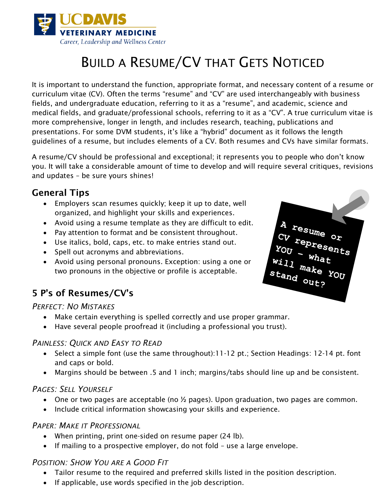

# BUILD A RESUME/CV THAT GETS NOTICED

It is important to understand the function, appropriate format, and necessary content of a resume or curriculum vitae (CV). Often the terms "resume" and "CV" are used interchangeably with business fields, and undergraduate education, referring to it as a "resume", and academic, science and medical fields, and graduate/professional schools, referring to it as a "CV". A true curriculum vitae is more comprehensive, longer in length, and includes research, teaching, publications and presentations. For some DVM students, it's like a "hybrid" document as it follows the length guidelines of a resume, but includes elements of a CV. Both resumes and CVs have similar formats.

A resume/CV should be professional and exceptional; it represents you to people who don't know you. It will take a considerable amount of time to develop and will require several critiques, revisions and updates – be sure yours shines!

### General Tips

- Employers scan resumes quickly; keep it up to date, well organized, and highlight your skills and experiences.
- Avoid using a resume template as they are difficult to edit.
- Pay attention to format and be consistent throughout.
- Use italics, bold, caps, etc. to make entries stand out.
- Spell out acronyms and abbreviations.
- Avoid using personal pronouns. Exception: using a one or two pronouns in the objective or profile is acceptable.

# 5 P's of Resumes/CV's

#### *PERFECT: NO MISTAKES*

- Make certain everything is spelled correctly and use proper grammar.
- Have several people proofread it (including a professional you trust).

#### *PAINLESS: QUICK AND EASY TO READ*

- Select a simple font (use the same throughout):11-12 pt.; Section Headings: 12-14 pt. font and caps or bold.
- Margins should be between .5 and 1 inch; margins/tabs should line up and be consistent.

#### *PAGES: SELL YOURSELF*

- One or two pages are acceptable (no  $\frac{1}{2}$  pages). Upon graduation, two pages are common.
- Include critical information showcasing your skills and experience.

#### *PAPER: MAKE IT PROFESSIONAL*

- When printing, print one-sided on resume paper (24 lb).
- If mailing to a prospective employer, do not fold use a large envelope.

#### *POSITION: SHOW YOU ARE A GOOD FIT*

- Tailor resume to the required and preferred skills listed in the position description.
- If applicable, use words specified in the job description.